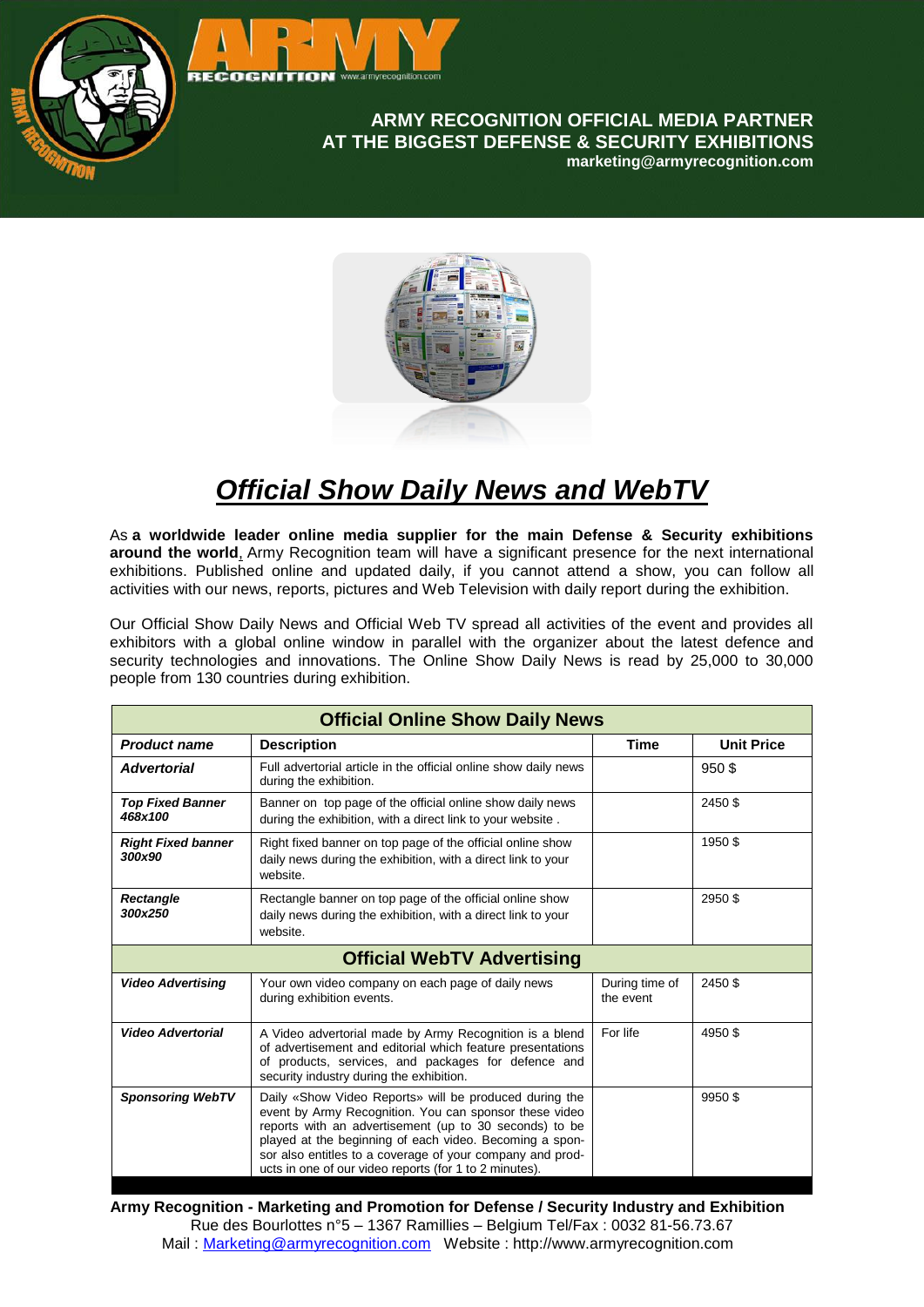

## **ARMY RECOGNITION OFFICIAL MEDIA PARTNER AT THE BIGGEST DEFENSE & SECURITY EXHIBITIONS marketing@armyrecognition.com**



## *Official Show Daily News and WebTV*

As **a worldwide leader online media supplier for the main Defense & Security exhibitions around the world**[,](http://www.idexuae.ae/page.cfm/Link=56/t=m/goSection=16_99) Army Recognition team will have a significant presence for the next international exhibitions. Published online and updated daily, if you cannot attend a show, you can follow all activities with our news, reports, pictures and Web Television with daily report during the exhibition.

Our Official Show Daily News and Official Web TV spread all activities of the event and provides all exhibitors with a global online window in parallel with the organizer about the latest defence and security technologies and innovations. The Online Show Daily News is read by 25,000 to 30,000 people from 130 countries during exhibition.

| <b>Official Online Show Daily News</b> |                                                                                                                                                                                                                                                                                                                                                              |                             |                   |  |
|----------------------------------------|--------------------------------------------------------------------------------------------------------------------------------------------------------------------------------------------------------------------------------------------------------------------------------------------------------------------------------------------------------------|-----------------------------|-------------------|--|
| <b>Product name</b>                    | <b>Description</b>                                                                                                                                                                                                                                                                                                                                           | <b>Time</b>                 | <b>Unit Price</b> |  |
| <b>Advertorial</b>                     | Full advertorial article in the official online show daily news<br>during the exhibition.                                                                                                                                                                                                                                                                    |                             | 950\$             |  |
| <b>Top Fixed Banner</b><br>468x100     | Banner on top page of the official online show daily news<br>during the exhibition, with a direct link to your website.                                                                                                                                                                                                                                      |                             | 2450 \$           |  |
| <b>Right Fixed banner</b><br>300x90    | Right fixed banner on top page of the official online show<br>daily news during the exhibition, with a direct link to your<br>website.                                                                                                                                                                                                                       |                             | 1950\$            |  |
| <b>Rectangle</b><br>300x250            | Rectangle banner on top page of the official online show<br>daily news during the exhibition, with a direct link to your<br>website.                                                                                                                                                                                                                         |                             | 2950\$            |  |
| <b>Official WebTV Advertising</b>      |                                                                                                                                                                                                                                                                                                                                                              |                             |                   |  |
| <b>Video Advertising</b>               | Your own video company on each page of daily news<br>during exhibition events.                                                                                                                                                                                                                                                                               | During time of<br>the event | 2450 \$           |  |
| <b>Video Advertorial</b>               | A Video advertorial made by Army Recognition is a blend<br>of advertisement and editorial which feature presentations<br>of products, services, and packages for defence and<br>security industry during the exhibition.                                                                                                                                     | For life                    | 4950\$            |  |
| <b>Sponsoring WebTV</b>                | Daily «Show Video Reports» will be produced during the<br>event by Army Recognition. You can sponsor these video<br>reports with an advertisement (up to 30 seconds) to be<br>played at the beginning of each video. Becoming a spon-<br>sor also entitles to a coverage of your company and prod-<br>ucts in one of our video reports (for 1 to 2 minutes). |                             | 9950\$            |  |

**Army Recognition - Marketing and Promotion for Defense / Security Industry and Exhibition** Rue des Bourlottes n°5 – 1367 Ramillies – Belgium Tel/Fax : 0032 81-56.73.67 Mail : [Marketing@armyrecognition.com](mailto:Marketing@armyrecognition.com) Website : http://www.armyrecognition.com